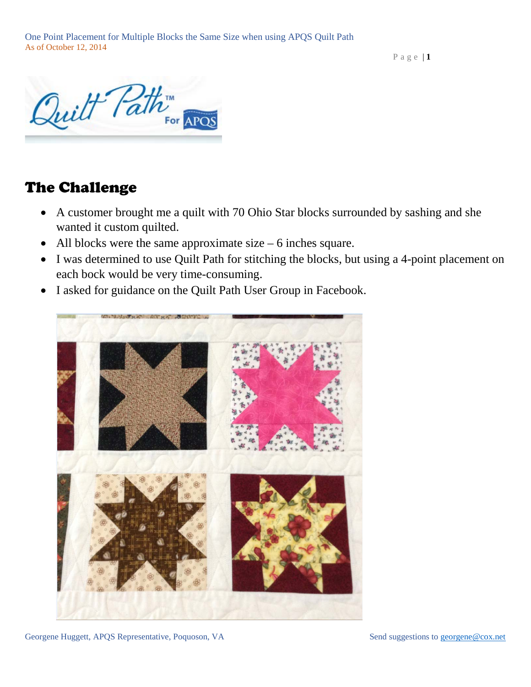Page  $|1$ 



## The Challenge

- A customer brought me a quilt with 70 Ohio Star blocks surrounded by sashing and she wanted it custom quilted.
- All blocks were the same approximate size  $-6$  inches square.
- I was determined to use Quilt Path for stitching the blocks, but using a 4-point placement on each bock would be very time-consuming.
- I asked for guidance on the Quilt Path User Group in Facebook.



Georgene Huggett, APQS Representative, Poquoson, VA Send suggestions to [georgene@cox.net](mailto:georgene@cox.net)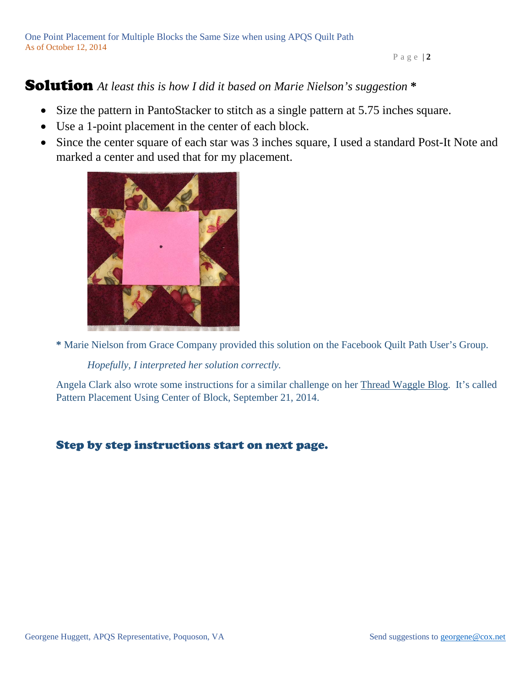#### Page | **2**

### Solution *At least this is how I did it based on Marie Nielson's suggestion* **\***

- Size the pattern in PantoStacker to stitch as a single pattern at 5.75 inches square.
- Use a 1-point placement in the center of each block.
- Since the center square of each star was 3 inches square, I used a standard Post-It Note and marked a center and used that for my placement.



**\*** Marie Nielson from Grace Company provided this solution on the Facebook Quilt Path User's Group.

*Hopefully, I interpreted her solution correctly.*

Angela Clark also wrote some instructions for a similar challenge on her [Thread Waggle Blog.](http://www.threadwaggle.com/2014/09/tech-sunday-pattern-placement-using.html) It's called Pattern Placement Using Center of Block, September 21, 2014.

#### Step by step instructions start on next page.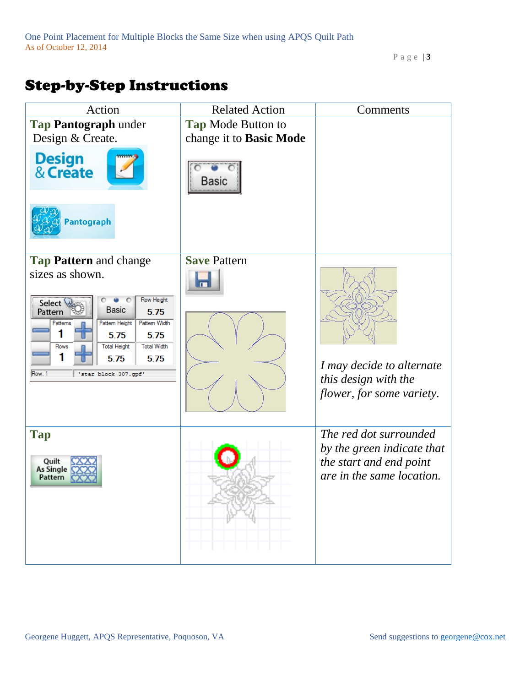Page | **3**

# Step-by-Step Instructions

| Action                                                                                                                                                                                                                                                | <b>Related Action</b>     | Comments                                                                                                     |
|-------------------------------------------------------------------------------------------------------------------------------------------------------------------------------------------------------------------------------------------------------|---------------------------|--------------------------------------------------------------------------------------------------------------|
| Tap Pantograph under                                                                                                                                                                                                                                  | <b>Tap Mode Button to</b> |                                                                                                              |
| Design & Create.                                                                                                                                                                                                                                      | change it to Basic Mode   |                                                                                                              |
| <b>Design<br/>&amp; Create</b>                                                                                                                                                                                                                        | Basic                     |                                                                                                              |
| Pantograph                                                                                                                                                                                                                                            |                           |                                                                                                              |
| Tap Pattern and change                                                                                                                                                                                                                                | <b>Save Pattern</b>       |                                                                                                              |
| sizes as shown.<br>Row Height<br>Select &<br><b>Basic</b><br>Pattern<br>5.75<br>Pattem Width<br>Pattern Height<br>Pattems<br>5.75<br>5.75<br><b>Total Width</b><br><b>Total Height</b><br>Rows<br>1<br>5.75<br>5.75<br>Row: 1<br>'star block 307.gpf' |                           | I may decide to alternate<br>this design with the<br>flower, for some variety.                               |
| <b>Tap</b><br>Quilt<br><b>As Single</b><br>Pattern                                                                                                                                                                                                    |                           | The red dot surrounded<br>by the green indicate that<br>the start and end point<br>are in the same location. |